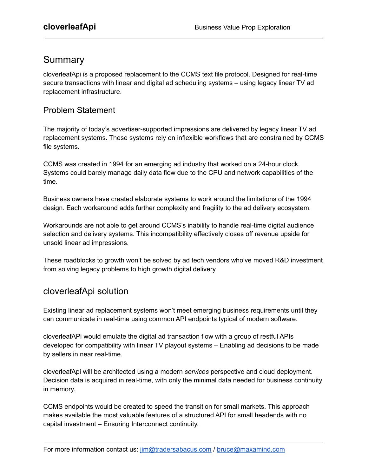# Summary

cloverleafApi is a proposed replacement to the CCMS text file protocol. Designed for real-time secure transactions with linear and digital ad scheduling systems – using legacy linear TV ad replacement infrastructure.

#### Problem Statement

The majority of today's advertiser-supported impressions are delivered by legacy linear TV ad replacement systems. These systems rely on inflexible workflows that are constrained by CCMS file systems.

CCMS was created in 1994 for an emerging ad industry that worked on a 24-hour clock. Systems could barely manage daily data flow due to the CPU and network capabilities of the time.

Business owners have created elaborate systems to work around the limitations of the 1994 design. Each workaround adds further complexity and fragility to the ad delivery ecosystem.

Workarounds are not able to get around CCMS's inability to handle real-time digital audience selection and delivery systems. This incompatibility effectively closes off revenue upside for unsold linear ad impressions.

These roadblocks to growth won't be solved by ad tech vendors who've moved R&D investment from solving legacy problems to high growth digital delivery.

### cloverleafApi solution

Existing linear ad replacement systems won't meet emerging business requirements until they can communicate in real-time using common API endpoints typical of modern software.

cloverleafAPi would emulate the digital ad transaction flow with a group of restful APIs developed for compatibility with linear TV playout systems – Enabling ad decisions to be made by sellers in near real-time.

cloverleafApi will be architected using a modern *services* perspective and cloud deployment. Decision data is acquired in real-time, with only the minimal data needed for business continuity in memory.

CCMS endpoints would be created to speed the transition for small markets. This approach makes available the most valuable features of a structured API for small headends with no capital investment – Ensuring Interconnect continuity.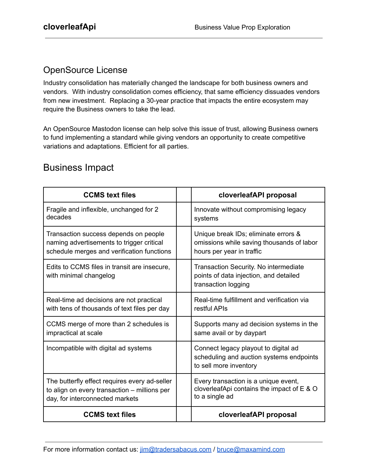#### OpenSource License

Industry consolidation has materially changed the landscape for both business owners and vendors. With industry consolidation comes efficiency, that same efficiency dissuades vendors from new investment. Replacing a 30-year practice that impacts the entire ecosystem may require the Business owners to take the lead.

An OpenSource Mastodon license can help solve this issue of trust, allowing Business owners to fund implementing a standard while giving vendors an opportunity to create competitive variations and adaptations. Efficient for all parties.

## Business Impact

| <b>CCMS text files</b>                                                 | cloverleafAPI proposal                                                                                     |
|------------------------------------------------------------------------|------------------------------------------------------------------------------------------------------------|
| Fragile and inflexible, unchanged for 2                                | Innovate without compromising legacy                                                                       |
| decades                                                                | systems                                                                                                    |
| Transaction success depends on people                                  | Unique break IDs; eliminate errors &                                                                       |
| naming advertisements to trigger critical                              | omissions while saving thousands of labor                                                                  |
| schedule merges and verification functions                             | hours per year in traffic                                                                                  |
| Edits to CCMS files in transit are insecure,<br>with minimal changelog | Transaction Security. No intermediate<br>points of data injection, and detailed<br>transaction logging     |
| Real-time ad decisions are not practical                               | Real-time fulfillment and verification via                                                                 |
| with tens of thousands of text files per day                           | restful APIs                                                                                               |
| CCMS merge of more than 2 schedules is                                 | Supports many ad decision systems in the                                                                   |
| impractical at scale                                                   | same avail or by daypart                                                                                   |
| Incompatible with digital ad systems                                   | Connect legacy playout to digital ad<br>scheduling and auction systems endpoints<br>to sell more inventory |
| The butterfly effect requires every ad-seller                          | Every transaction is a unique event,                                                                       |
| to align on every transaction - millions per                           | cloverleafApi contains the impact of E & O                                                                 |
| day, for interconnected markets                                        | to a single ad                                                                                             |
| <b>CCMS</b> text files                                                 | cloverleafAPI proposal                                                                                     |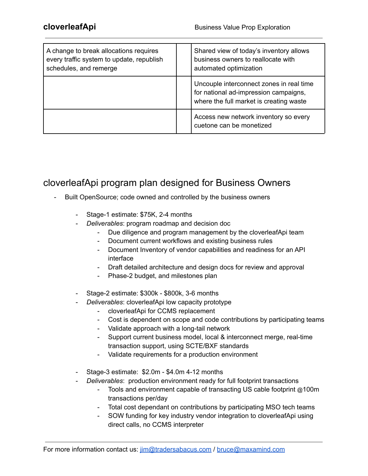| A change to break allocations requires<br>every traffic system to update, republish<br>schedules, and remerge | Shared view of today's inventory allows<br>business owners to reallocate with<br>automated optimization                      |
|---------------------------------------------------------------------------------------------------------------|------------------------------------------------------------------------------------------------------------------------------|
|                                                                                                               | Uncouple interconnect zones in real time<br>for national ad-impression campaigns,<br>where the full market is creating waste |
|                                                                                                               | Access new network inventory so every<br>cuetone can be monetized                                                            |

# cloverleafApi program plan designed for Business Owners

- Built OpenSource; code owned and controlled by the business owners
	- Stage-1 estimate: \$75K, 2-4 months
	- *Deliverables*: program roadmap and decision doc
		- Due diligence and program management by the cloverleafApi team
		- Document current workflows and existing business rules
		- Document Inventory of vendor capabilities and readiness for an API interface
		- Draft detailed architecture and design docs for review and approval
		- Phase-2 budget, and milestones plan
	- Stage-2 estimate: \$300k \$800k, 3-6 months
	- *Deliverables*: cloverleafApi low capacity prototype
		- cloverleafApi for CCMS replacement
		- Cost is dependent on scope and code contributions by participating teams
		- Validate approach with a long-tail network
		- Support current business model, local & interconnect merge, real-time transaction support, using SCTE/BXF standards
		- Validate requirements for a production environment
	- Stage-3 estimate: \$2.0m \$4.0m 4-12 months
	- *Deliverables*: production environment ready for full footprint transactions
		- Tools and environment capable of transacting US cable footprint @100m transactions per/day
		- Total cost dependant on contributions by participating MSO tech teams
		- SOW funding for key industry vendor integration to cloverleafApi using direct calls, no CCMS interpreter